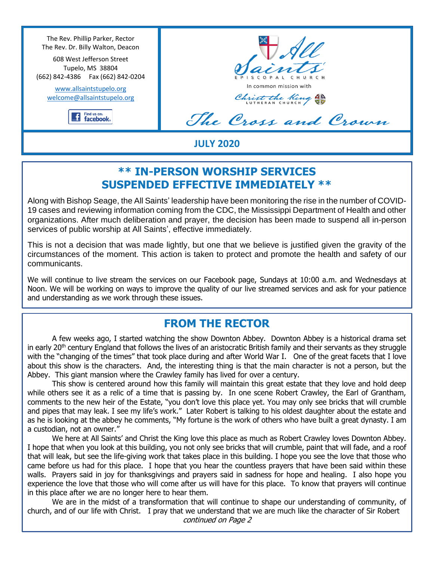The Rev. Phillip Parker, Rector The Rev. Dr. Billy Walton, Deacon

608 West Jefferson Street Tupelo, MS 38804 (662) 842-4386 Fax (662) 842-0204

www.allsaintstupelo.org welcome@allsaintstupelo.org



ISCOPAL CHUR In common mission with

Christ the King

The Cross and Crown

### **JULY 2020**

## **\*\* IN-PERSON WORSHIP SERVICES SUSPENDED EFFECTIVE IMMEDIATELY \*\***

Along with Bishop Seage, the All Saints' leadership have been monitoring the rise in the number of COVID-19 cases and reviewing information coming from the CDC, the Mississippi Department of Health and other organizations. After much deliberation and prayer, the decision has been made to suspend all in-person services of public worship at All Saints', effective immediately.

This is not a decision that was made lightly, but one that we believe is justified given the gravity of the circumstances of the moment. This action is taken to protect and promote the health and safety of our communicants.

We will continue to live stream the services on our Facebook page, Sundays at 10:00 a.m. and Wednesdays at Noon. We will be working on ways to improve the quality of our live streamed services and ask for your patience and understanding as we work through these issues.

### **FROM THE RECTOR**

A few weeks ago, I started watching the show Downton Abbey. Downton Abbey is a historical drama set in early 20<sup>th</sup> century England that follows the lives of an aristocratic British family and their servants as they struggle with the "changing of the times" that took place during and after World War I. One of the great facets that I love about this show is the characters. And, the interesting thing is that the main character is not a person, but the Abbey. This giant mansion where the Crawley family has lived for over a century.

This show is centered around how this family will maintain this great estate that they love and hold deep while others see it as a relic of a time that is passing by. In one scene Robert Crawley, the Earl of Grantham, comments to the new heir of the Estate, "you don't love this place yet. You may only see bricks that will crumble and pipes that may leak. I see my life's work." Later Robert is talking to his oldest daughter about the estate and as he is looking at the abbey he comments, "My fortune is the work of others who have built a great dynasty. I am a custodian, not an owner."

We here at All Saints' and Christ the King love this place as much as Robert Crawley loves Downton Abbey. I hope that when you look at this building, you not only see bricks that will crumble, paint that will fade, and a roof that will leak, but see the life-giving work that takes place in this building. I hope you see the love that those who came before us had for this place. I hope that you hear the countless prayers that have been said within these walls. Prayers said in joy for thanksgivings and prayers said in sadness for hope and healing. I also hope you experience the love that those who will come after us will have for this place. To know that prayers will continue in this place after we are no longer here to hear them.

We are in the midst of a transformation that will continue to shape our understanding of community, of church, and of our life with Christ. I pray that we understand that we are much like the character of Sir Robert continued on Page 2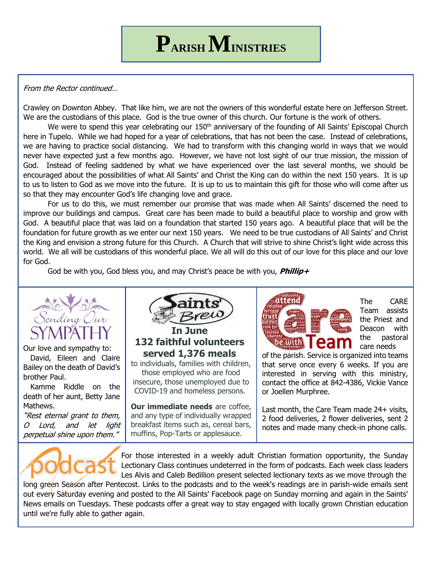#### From the Rector continued…

Crawley on Downton Abbey. That like him, we are not the owners of this wonderful estate here on Jefferson Street. We are the custodians of this place. God is the true owner of this church. Our fortune is the work of others.

We were to spend this year celebrating our 150<sup>th</sup> anniversary of the founding of All Saints' Episcopal Church here in Tupelo. While we had hoped for a year of celebrations, that has not been the case. Instead of celebrations, we are having to practice social distancing. We had to transform with this changing world in ways that we would never have expected just a few months ago. However, we have not lost sight of our true mission, the mission of God. Instead of feeling saddened by what we have experienced over the last several months, we should be encouraged about the possibilities of what All Saints' and Christ the King can do within the next 150 years. It is up to us to listen to God as we move into the future. It is up to us to maintain this gift for those who will come after us so that they may encounter God's life changing love and grace.

For us to do this, we must remember our promise that was made when All Saints' discerned the need to improve our buildings and campus. Great care has been made to build a beautiful place to worship and grow with God. A beautiful place that was laid on a foundation that started 150 years ago. A beautiful place that will be the foundation for future growth as we enter our next 150 years. We need to be true custodians of All Saints' and Christ the King and envision a strong future for this Church. A Church that will strive to shine Christ's light wide across this world. We all will be custodians of this wonderful place. We all will do this out of our love for this place and our love for God.

God be with you, God bless you, and may Christ's peace be with you, **Phillip+**



Our love and sympathy to: David, Eileen and Claire Bailey on the death of David's brother Paul.

 Kamme Riddle on the death of her aunt, Betty Jane Mathews.

"Rest eternal grant to them, O Lord, and let light perpetual shine upon them."



**132 faithful volunteers served 1,376 meals**

to individuals, families with children, those employed who are food insecure, those unemployed due to COVID-19 and homeless persons.

**Our immediate needs** are coffee, and any type of individually wrapped breakfast items such as, cereal bars, muffins, Pop-Tarts or applesauce.



The CARE Team assists the Priest and Deacon with the pastoral care needs

of the parish. Service is organized into teams that serve once every 6 weeks. If you are interested in serving with this ministry, contact the office at 842-4386, Vickie Vance or Joellen Murphree.

Last month, the Care Team made 24+ visits, 2 food deliveries, 2 flower deliveries, sent 2 notes and made many check-in phone calls.



long green Season after Pentecost. Links to the podcasts and to the week's readings are in parish-wide emails sent out every Saturday evening and posted to the All Saints' Facebook page on Sunday morning and again in the Saints' News emails on Tuesdays. These podcasts offer a great way to stay engaged with locally grown Christian education until we're fully able to gather again.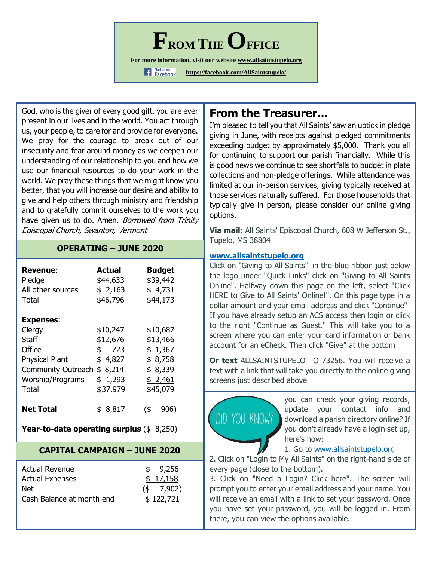$\mathbf{F}_{\text{ROM THE}}$ 

**For more information, visit our website www.allsaintstupelo.org**

**f** Find us on<br>**https://facebook.com/AllSaintstupelo/** 

God, who is the giver of every good gift, you are ever present in our lives and in the world. You act through us, your people, to care for and provide for everyone. We pray for the courage to break out of our insecurity and fear around money as we deepen our understanding of our relationship to you and how we use our financial resources to do your work in the world. We pray these things that we might know you better, that you will increase our desire and ability to give and help others through ministry and friendship and to gratefully commit ourselves to the work you have given us to do. Amen. Borrowed from Trinity Episcopal Church, Swanton, Vermont

### **OPERATING – JUNE 2020**

| <b>Revenue:</b><br>Pledge<br>All other sources<br>Total | Actual<br>\$44,633<br>\$2,163<br>\$46,796 | <b>Budget</b><br>\$39,442<br>\$4,731<br>\$44,173 |
|---------------------------------------------------------|-------------------------------------------|--------------------------------------------------|
| <b>Expenses:</b>                                        |                                           |                                                  |
| Clergy                                                  | \$10,247                                  | \$10,687                                         |
| Staff                                                   | \$12,676                                  | \$13,466                                         |
| Office                                                  | 723<br>\$                                 | \$1,367                                          |
| <b>Physical Plant</b>                                   | \$4,827                                   | \$8,758                                          |
| <b>Community Outreach</b>                               | \$8,214                                   | \$8,339                                          |
| <b>Worship/Programs</b>                                 | \$1,293                                   | \$2,461                                          |
| Total                                                   | \$37,979                                  | \$45,079                                         |
| <b>Net Total</b>                                        | 8,817<br>\$                               | (\$<br>906)                                      |

| <b>Year-to-date operating surplus <math>(\\$ 8,250)</math></b> |  |  |
|----------------------------------------------------------------|--|--|
|                                                                |  |  |

### **CAPITAL CAMPAIGN – JUNE 2020**

| Actual Revenue            | \$9,256       |
|---------------------------|---------------|
| <b>Actual Expenses</b>    | \$17,158      |
| Net                       | $($ \$ 7,902) |
| Cash Balance at month end | \$122,721     |

## **From the Treasurer…**

I'm pleased to tell you that All Saints' saw an uptick in pledge giving in June, with receipts against pledged commitments exceeding budget by approximately \$5,000. Thank you all for continuing to support our parish financially. While this is good news we continue to see shortfalls to budget in plate collections and non-pledge offerings. While attendance was limited at our in-person services, giving typically received at those services naturally suffered. For those households that typically give in person, please consider our online giving options.

**Via mail:** All Saints' Episcopal Church, 608 W Jefferson St., Tupelo, MS 38804

#### **www.allsaintstupelo.org**

Click on "Giving to All Saints'" in the blue ribbon just below the logo under "Quick Links" click on "Giving to All Saints Online". Halfway down this page on the left, select "Click HERE to Give to All Saints' Online!". On this page type in a dollar amount and your email address and click "Continue" If you have already setup an ACS access then login or click to the right "Continue as Guest." This will take you to a screen where you can enter your card information or bank account for an eCheck. Then click "Give" at the bottom

**Or text** ALLSAINTSTUPELO TO 73256. You will receive a text with a link that will take you directly to the online giving screens just described above



you can check your giving records, update your contact info and download a parish directory online? If you don't already have a login set up, here's how:

#### 1. Go to www.allsaintstupelo.org

2. Click on "Login to My All Saints" on the right-hand side of every page (close to the bottom).

3. Click on "Need a Login? Click here". The screen will prompt you to enter your email address and your name. You will receive an email with a link to set your password. Once you have set your password, you will be logged in. From there, you can view the options available.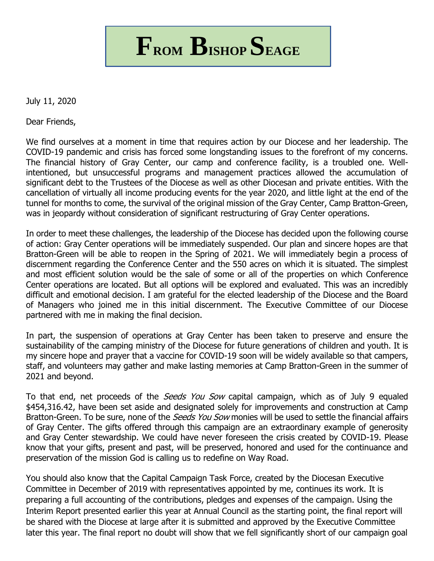**FROM BISHOP SEAGE**

July 11, 2020

Dear Friends,

We find ourselves at a moment in time that requires action by our Diocese and her leadership. The COVID-19 pandemic and crisis has forced some longstanding issues to the forefront of my concerns. The financial history of Gray Center, our camp and conference facility, is a troubled one. Wellintentioned, but unsuccessful programs and management practices allowed the accumulation of significant debt to the Trustees of the Diocese as well as other Diocesan and private entities. With the cancellation of virtually all income producing events for the year 2020, and little light at the end of the tunnel for months to come, the survival of the original mission of the Gray Center, Camp Bratton-Green, was in jeopardy without consideration of significant restructuring of Gray Center operations.

In order to meet these challenges, the leadership of the Diocese has decided upon the following course of action: Gray Center operations will be immediately suspended. Our plan and sincere hopes are that Bratton-Green will be able to reopen in the Spring of 2021. We will immediately begin a process of discernment regarding the Conference Center and the 550 acres on which it is situated. The simplest and most efficient solution would be the sale of some or all of the properties on which Conference Center operations are located. But all options will be explored and evaluated. This was an incredibly difficult and emotional decision. I am grateful for the elected leadership of the Diocese and the Board of Managers who joined me in this initial discernment. The Executive Committee of our Diocese partnered with me in making the final decision.

In part, the suspension of operations at Gray Center has been taken to preserve and ensure the sustainability of the camping ministry of the Diocese for future generations of children and youth. It is my sincere hope and prayer that a vaccine for COVID-19 soon will be widely available so that campers, staff, and volunteers may gather and make lasting memories at Camp Bratton-Green in the summer of 2021 and beyond.

To that end, net proceeds of the *Seeds You Sow* capital campaign, which as of July 9 equaled \$454,316.42, have been set aside and designated solely for improvements and construction at Camp Bratton-Green. To be sure, none of the *Seeds You Sow* monies will be used to settle the financial affairs of Gray Center. The gifts offered through this campaign are an extraordinary example of generosity and Gray Center stewardship. We could have never foreseen the crisis created by COVID-19. Please know that your gifts, present and past, will be preserved, honored and used for the continuance and preservation of the mission God is calling us to redefine on Way Road.

You should also know that the Capital Campaign Task Force, created by the Diocesan Executive Committee in December of 2019 with representatives appointed by me, continues its work. It is preparing a full accounting of the contributions, pledges and expenses of the campaign. Using the Interim Report presented earlier this year at Annual Council as the starting point, the final report will be shared with the Diocese at large after it is submitted and approved by the Executive Committee later this year. The final report no doubt will show that we fell significantly short of our campaign goal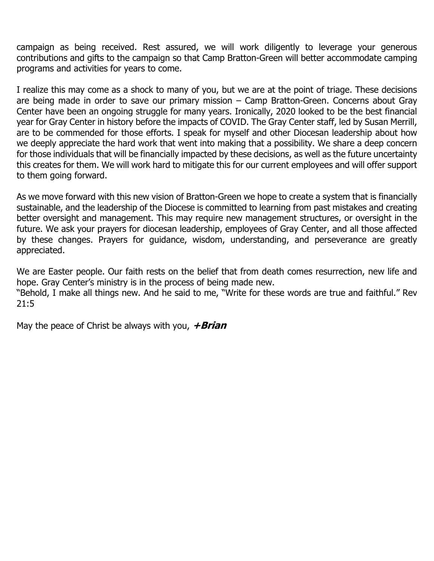campaign as being received. Rest assured, we will work diligently to leverage your generous contributions and gifts to the campaign so that Camp Bratton-Green will better accommodate camping programs and activities for years to come.

I realize this may come as a shock to many of you, but we are at the point of triage. These decisions are being made in order to save our primary mission – Camp Bratton-Green. Concerns about Gray Center have been an ongoing struggle for many years. Ironically, 2020 looked to be the best financial year for Gray Center in history before the impacts of COVID. The Gray Center staff, led by Susan Merrill, are to be commended for those efforts. I speak for myself and other Diocesan leadership about how we deeply appreciate the hard work that went into making that a possibility. We share a deep concern for those individuals that will be financially impacted by these decisions, as well as the future uncertainty this creates for them. We will work hard to mitigate this for our current employees and will offer support to them going forward.

As we move forward with this new vision of Bratton-Green we hope to create a system that is financially sustainable, and the leadership of the Diocese is committed to learning from past mistakes and creating better oversight and management. This may require new management structures, or oversight in the future. We ask your prayers for diocesan leadership, employees of Gray Center, and all those affected by these changes. Prayers for guidance, wisdom, understanding, and perseverance are greatly appreciated.

We are Easter people. Our faith rests on the belief that from death comes resurrection, new life and hope. Gray Center's ministry is in the process of being made new.

"Behold, I make all things new. And he said to me, "Write for these words are true and faithful." Rev 21:5

May the peace of Christ be always with you, **+Brian**